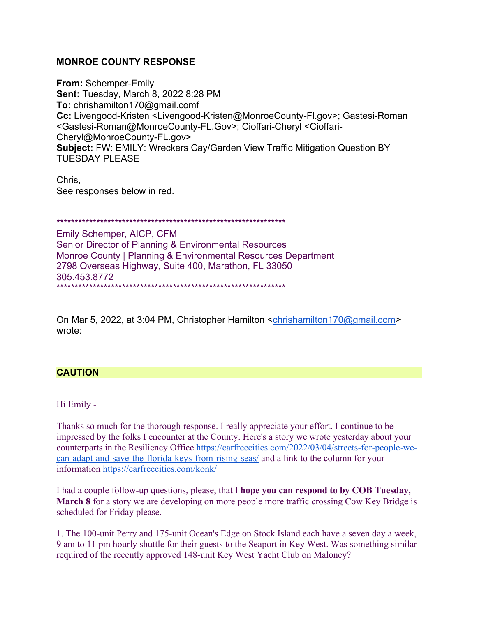## **MONROE COUNTY RESPONSE**

**From:** Schemper-Emily **Sent:** Tuesday, March 8, 2022 8:28 PM **To:** chrishamilton170@gmail.comf **Cc:** Livengood-Kristen <Livengood-Kristen@MonroeCounty-Fl.gov>; Gastesi-Roman <Gastesi-Roman@MonroeCounty-FL.Gov>; Cioffari-Cheryl <Cioffari-Cheryl@MonroeCounty-FL.gov> **Subject:** FW: EMILY: Wreckers Cay/Garden View Traffic Mitigation Question BY TUESDAY PLEASE

Chris, See responses below in red.

\*\*\*\*\*\*\*\*\*\*\*\*\*\*\*\*\*\*\*\*\*\*\*\*\*\*\*\*\*\*\*\*\*\*\*\*\*\*\*\*\*\*\*\*\*\*\*\*\*\*\*\*\*\*\*\*\*\*\*\*\*\*\*

Emily Schemper, AICP, CFM Senior Director of Planning & Environmental Resources Monroe County | Planning & Environmental Resources Department 2798 Overseas Highway, Suite 400, Marathon, FL 33050 305.453.8772 \*\*\*\*\*\*\*\*\*\*\*\*\*\*\*\*\*\*\*\*\*\*\*\*\*\*\*\*\*\*\*\*\*\*\*\*\*\*\*\*\*\*\*\*\*\*\*\*\*\*\*\*\*\*\*\*\*\*\*\*\*\*\*

On Mar 5, 2022, at 3:04 PM, Christopher Hamilton <chrishamilton170@gmail.com> wrote:

## **CAUTION**

Hi Emily -

Thanks so much for the thorough response. I really appreciate your effort. I continue to be impressed by the folks I encounter at the County. Here's a story we wrote yesterday about your counterparts in the Resiliency Office https://carfreecities.com/2022/03/04/streets-for-people-wecan-adapt-and-save-the-florida-keys-from-rising-seas/ and a link to the column for your information https://carfreecities.com/konk/

I had a couple follow-up questions, please, that I **hope you can respond to by COB Tuesday, March 8** for a story we are developing on more people more traffic crossing Cow Key Bridge is scheduled for Friday please.

1. The 100-unit Perry and 175-unit Ocean's Edge on Stock Island each have a seven day a week, 9 am to 11 pm hourly shuttle for their guests to the Seaport in Key West. Was something similar required of the recently approved 148-unit Key West Yacht Club on Maloney?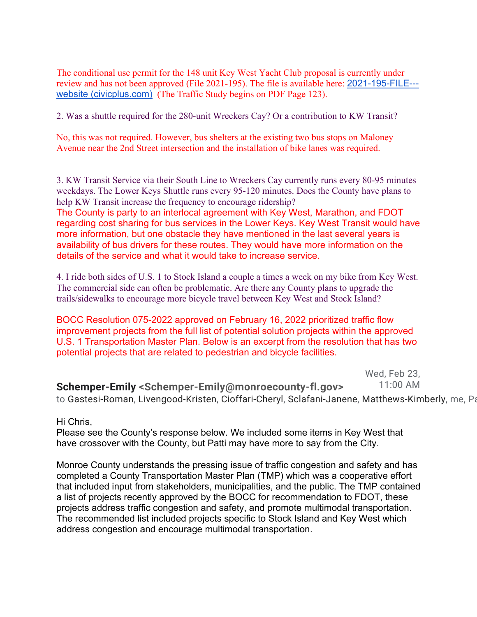The conditional use permit for the 148 unit Key West Yacht Club proposal is currently under review and has not been approved (File 2021-195). The file is available here: 2021-195-FILE-- website (civicplus.com) (The Traffic Study begins on PDF Page 123).

2. Was a shuttle required for the 280-unit Wreckers Cay? Or a contribution to KW Transit?

No, this was not required. However, bus shelters at the existing two bus stops on Maloney Avenue near the 2nd Street intersection and the installation of bike lanes was required.

3. KW Transit Service via their South Line to Wreckers Cay currently runs every 80-95 minutes weekdays. The Lower Keys Shuttle runs every 95-120 minutes. Does the County have plans to help KW Transit increase the frequency to encourage ridership? The County is party to an interlocal agreement with Key West, Marathon, and FDOT regarding cost sharing for bus services in the Lower Keys. Key West Transit would have more information, but one obstacle they have mentioned in the last several years is availability of bus drivers for these routes. They would have more information on the details of the service and what it would take to increase service.

4. I ride both sides of U.S. 1 to Stock Island a couple a times a week on my bike from Key West. The commercial side can often be problematic. Are there any County plans to upgrade the trails/sidewalks to encourage more bicycle travel between Key West and Stock Island?

BOCC Resolution 075-2022 approved on February 16, 2022 prioritized traffic flow improvement projects from the full list of potential solution projects within the approved U.S. 1 Transportation Master Plan. Below is an excerpt from the resolution that has two potential projects that are related to pedestrian and bicycle facilities.

> Wed, Feb 23, 11:00 AM

**Schemper-Emily <Schemper-Emily@monroecounty-fl.gov>** to Gastesi-Roman, Livengood-Kristen, Cioffari-Cheryl, Sclafani-Janene, Matthews-Kimberly, me, Pa

#### Hi Chris,

Please see the County's response below. We included some items in Key West that have crossover with the County, but Patti may have more to say from the City.

Monroe County understands the pressing issue of traffic congestion and safety and has completed a County Transportation Master Plan (TMP) which was a cooperative effort that included input from stakeholders, municipalities, and the public. The TMP contained a list of projects recently approved by the BOCC for recommendation to FDOT, these projects address traffic congestion and safety, and promote multimodal transportation. The recommended list included projects specific to Stock Island and Key West which address congestion and encourage multimodal transportation.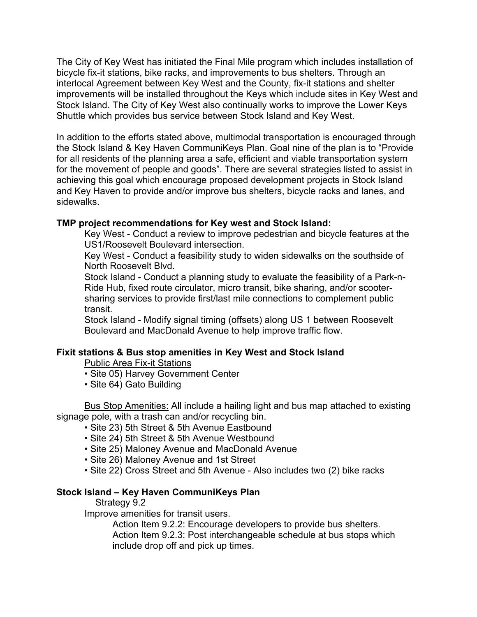The City of Key West has initiated the Final Mile program which includes installation of bicycle fix-it stations, bike racks, and improvements to bus shelters. Through an interlocal Agreement between Key West and the County, fix-it stations and shelter improvements will be installed throughout the Keys which include sites in Key West and Stock Island. The City of Key West also continually works to improve the Lower Keys Shuttle which provides bus service between Stock Island and Key West.

In addition to the efforts stated above, multimodal transportation is encouraged through the Stock Island & Key Haven CommuniKeys Plan. Goal nine of the plan is to "Provide for all residents of the planning area a safe, efficient and viable transportation system for the movement of people and goods". There are several strategies listed to assist in achieving this goal which encourage proposed development projects in Stock Island and Key Haven to provide and/or improve bus shelters, bicycle racks and lanes, and sidewalks.

## **TMP project recommendations for Key west and Stock Island:**

Key West - Conduct a review to improve pedestrian and bicycle features at the US1/Roosevelt Boulevard intersection.

Key West - Conduct a feasibility study to widen sidewalks on the southside of North Roosevelt Blvd.

Stock Island - Conduct a planning study to evaluate the feasibility of a Park-n-Ride Hub, fixed route circulator, micro transit, bike sharing, and/or scootersharing services to provide first/last mile connections to complement public transit.

Stock Island - Modify signal timing (offsets) along US 1 between Roosevelt Boulevard and MacDonald Avenue to help improve traffic flow.

## **Fixit stations & Bus stop amenities in Key West and Stock Island**

Public Area Fix-it Stations

- Site 05) Harvey Government Center
- Site 64) Gato Building

Bus Stop Amenities: All include a hailing light and bus map attached to existing signage pole, with a trash can and/or recycling bin.

- Site 23) 5th Street & 5th Avenue Eastbound
- Site 24) 5th Street & 5th Avenue Westbound
- Site 25) Maloney Avenue and MacDonald Avenue
- Site 26) Maloney Avenue and 1st Street
- Site 22) Cross Street and 5th Avenue Also includes two (2) bike racks

## **Stock Island – Key Haven CommuniKeys Plan**

#### Strategy 9.2

Improve amenities for transit users.

Action Item 9.2.2: Encourage developers to provide bus shelters. Action Item 9.2.3: Post interchangeable schedule at bus stops which include drop off and pick up times.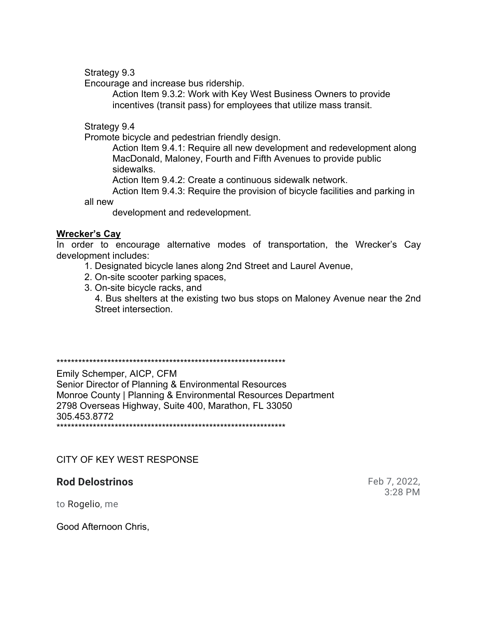Strategy 9.3

Encourage and increase bus ridership.

Action Item 9.3.2: Work with Key West Business Owners to provide incentives (transit pass) for employees that utilize mass transit.

Strategy 9.4

Promote bicycle and pedestrian friendly design.

Action Item 9.4.1: Require all new development and redevelopment along MacDonald, Maloney, Fourth and Fifth Avenues to provide public sidewalks.

Action Item 9.4.2: Create a continuous sidewalk network.

Action Item 9.4.3: Require the provision of bicycle facilities and parking in all new

development and redevelopment.

## **Wrecker's Cay**

In order to encourage alternative modes of transportation, the Wrecker's Cay development includes:

- 1. Designated bicycle lanes along 2nd Street and Laurel Avenue,
- 2. On-site scooter parking spaces,
- 3. On-site bicycle racks, and

4. Bus shelters at the existing two bus stops on Maloney Avenue near the 2nd Street intersection.

\*\*\*\*\*\*\*\*\*\*\*\*\*\*\*\*\*\*\*\*\*\*\*\*\*\*\*\*\*\*\*\*\*\*\*\*\*\*\*\*\*\*\*\*\*\*\*\*\*\*\*\*\*\*\*\*\*\*\*\*\*\*\*

Emily Schemper, AICP, CFM Senior Director of Planning & Environmental Resources Monroe County | Planning & Environmental Resources Department 2798 Overseas Highway, Suite 400, Marathon, FL 33050 305.453.8772 \*\*\*\*\*\*\*\*\*\*\*\*\*\*\*\*\*\*\*\*\*\*\*\*\*\*\*\*\*\*\*\*\*\*\*\*\*\*\*\*\*\*\*\*\*\*\*\*\*\*\*\*\*\*\*\*\*\*\*\*\*\*\*

## CITY OF KEY WEST RESPONSE

# **Rod Delostrinos** Feb 7, 2022,

3:28 PM

to Rogelio, me

Good Afternoon Chris,